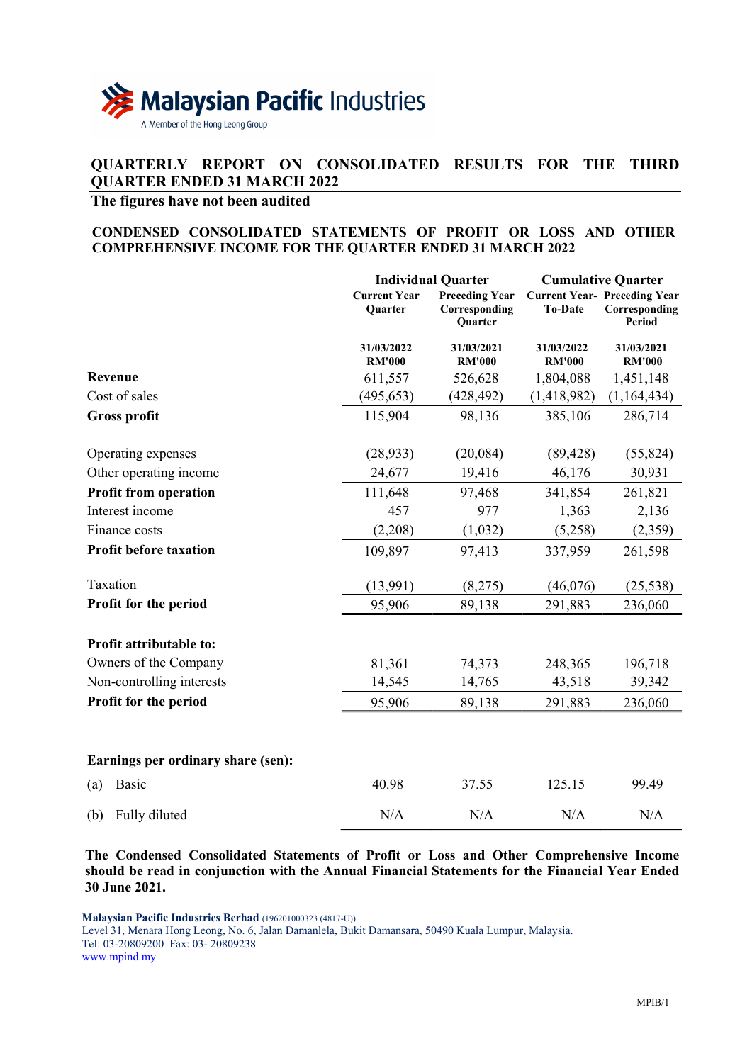

# QUARTERLY REPORT ON CONSOLIDATED RESULTS FOR THE THIRD QUARTER ENDED 31 MARCH 2022

# The figures have not been audited

## CONDENSED CONSOLIDATED STATEMENTS OF PROFIT OR LOSS AND OTHER COMPREHENSIVE INCOME FOR THE QUARTER ENDED 31 MARCH 2022

|                                    |                                | <b>Individual Quarter</b>                         | <b>Cumulative Quarter</b>   |                                                                |  |
|------------------------------------|--------------------------------|---------------------------------------------------|-----------------------------|----------------------------------------------------------------|--|
|                                    | <b>Current Year</b><br>Quarter | <b>Preceding Year</b><br>Corresponding<br>Quarter | <b>To-Date</b>              | <b>Current Year- Preceding Year</b><br>Corresponding<br>Period |  |
|                                    | 31/03/2022<br><b>RM'000</b>    | 31/03/2021<br><b>RM'000</b>                       | 31/03/2022<br><b>RM'000</b> | 31/03/2021<br><b>RM'000</b>                                    |  |
| Revenue                            | 611,557                        | 526,628                                           | 1,804,088                   | 1,451,148                                                      |  |
| Cost of sales                      | (495, 653)                     | (428, 492)                                        | (1,418,982)                 | (1,164,434)                                                    |  |
| <b>Gross profit</b>                | 115,904                        | 98,136                                            | 385,106                     | 286,714                                                        |  |
| Operating expenses                 | (28, 933)                      | (20,084)                                          | (89, 428)                   | (55, 824)                                                      |  |
| Other operating income             | 24,677                         | 19,416                                            | 46,176                      | 30,931                                                         |  |
| <b>Profit from operation</b>       | 111,648                        | 97,468                                            | 341,854                     | 261,821                                                        |  |
| Interest income                    | 457                            | 977                                               | 1,363                       | 2,136                                                          |  |
| Finance costs                      | (2,208)                        | (1,032)                                           | (5,258)                     | (2,359)                                                        |  |
| Profit before taxation             | 109,897                        | 97,413                                            | 337,959                     | 261,598                                                        |  |
| Taxation                           | (13,991)                       | (8,275)                                           | (46,076)                    | (25, 538)                                                      |  |
| Profit for the period              | 95,906                         | 89,138                                            | 291,883                     | 236,060                                                        |  |
| Profit attributable to:            |                                |                                                   |                             |                                                                |  |
| Owners of the Company              | 81,361                         | 74,373                                            | 248,365                     | 196,718                                                        |  |
| Non-controlling interests          | 14,545                         | 14,765                                            | 43,518                      | 39,342                                                         |  |
| Profit for the period              | 95,906                         | 89,138                                            | 291,883                     | 236,060                                                        |  |
| Earnings per ordinary share (sen): |                                |                                                   |                             |                                                                |  |
| Basic<br>(a)                       | 40.98                          | 37.55                                             | 125.15                      | 99.49                                                          |  |
| Fully diluted<br>(b)               | N/A                            | N/A                                               | N/A                         | N/A                                                            |  |

The Condensed Consolidated Statements of Profit or Loss and Other Comprehensive Income should be read in conjunction with the Annual Financial Statements for the Financial Year Ended 30 June 2021.

Malaysian Pacific Industries Berhad (196201000323 (4817-U))

Level 31, Menara Hong Leong, No. 6, Jalan Damanlela, Bukit Damansara, 50490 Kuala Lumpur, Malaysia. Tel: 03-20809200 Fax: 03- 20809238 www.mpind.my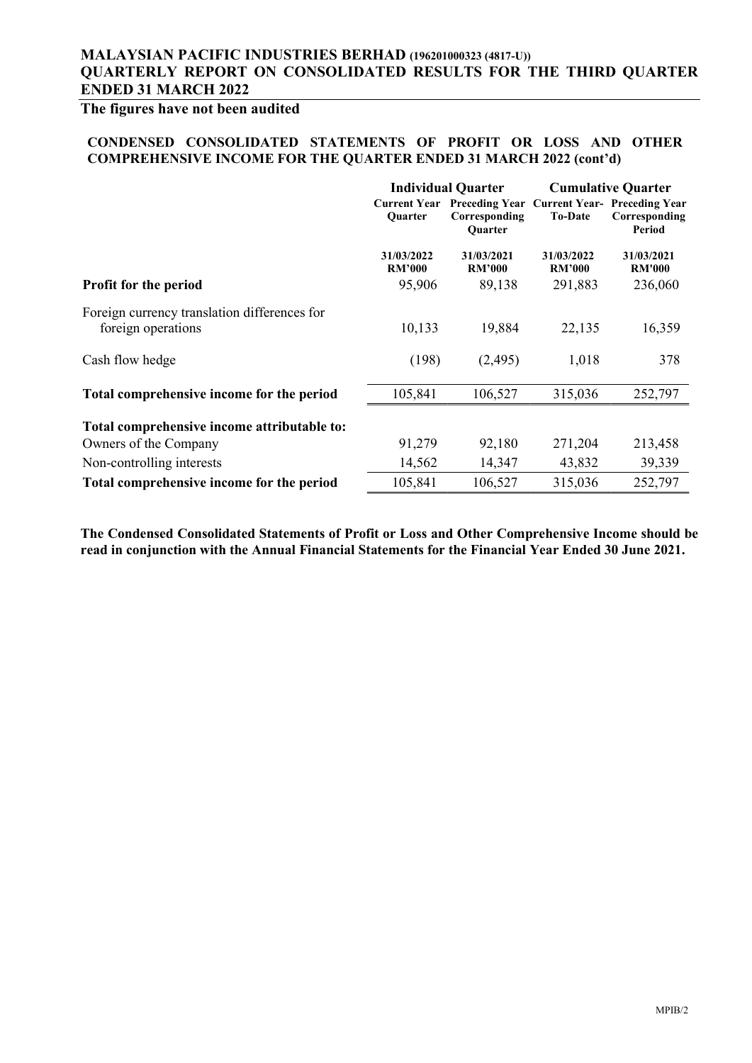# The figures have not been audited

#### CONDENSED CONSOLIDATED STATEMENTS OF PROFIT OR LOSS AND OTHER COMPREHENSIVE INCOME FOR THE QUARTER ENDED 31 MARCH 2022 (cont'd)

|                             |                                 | <b>Cumulative Quarter</b>   |                                                                |  |
|-----------------------------|---------------------------------|-----------------------------|----------------------------------------------------------------|--|
| <b>Ouarter</b>              | Corresponding<br><b>Ouarter</b> | <b>To-Date</b>              | <b>Current Year- Preceding Year</b><br>Corresponding<br>Period |  |
| 31/03/2022<br><b>RM'000</b> | 31/03/2021<br><b>RM'000</b>     | 31/03/2022<br><b>RM'000</b> | 31/03/2021<br><b>RM'000</b>                                    |  |
| 95,906                      | 89,138                          | 291,883                     | 236,060                                                        |  |
| 10,133                      | 19,884                          | 22,135                      | 16,359                                                         |  |
| (198)                       | (2,495)                         | 1,018                       | 378                                                            |  |
| 105,841                     | 106,527                         | 315,036                     | 252,797                                                        |  |
|                             |                                 |                             |                                                                |  |
| 91,279                      | 92,180                          | 271,204                     | 213,458                                                        |  |
| 14,562                      | 14,347                          | 43,832                      | 39,339                                                         |  |
| 105,841                     | 106,527                         | 315,036                     | 252,797                                                        |  |
|                             |                                 | <b>Individual Quarter</b>   | <b>Current Year Preceding Year</b>                             |  |

The Condensed Consolidated Statements of Profit or Loss and Other Comprehensive Income should be read in conjunction with the Annual Financial Statements for the Financial Year Ended 30 June 2021.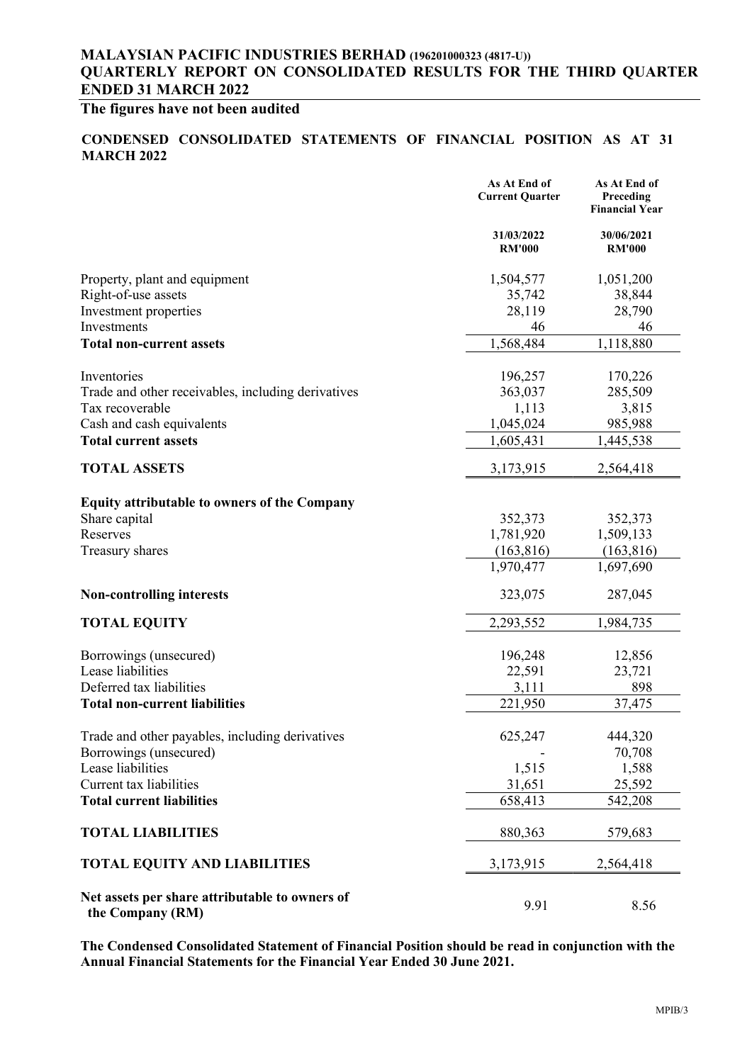# The figures have not been audited

### CONDENSED CONSOLIDATED STATEMENTS OF FINANCIAL POSITION AS AT 31 **MARCH 2022**

|                                                                    | As At End of<br><b>Current Quarter</b> | As At End of<br>Preceding<br><b>Financial Year</b> |
|--------------------------------------------------------------------|----------------------------------------|----------------------------------------------------|
|                                                                    | 31/03/2022<br><b>RM'000</b>            | 30/06/2021<br><b>RM'000</b>                        |
| Property, plant and equipment                                      | 1,504,577                              | 1,051,200                                          |
| Right-of-use assets                                                | 35,742                                 | 38,844                                             |
| Investment properties                                              | 28,119                                 | 28,790                                             |
| Investments                                                        | 46                                     | 46                                                 |
| <b>Total non-current assets</b>                                    | 1,568,484                              | 1,118,880                                          |
| Inventories                                                        | 196,257                                | 170,226                                            |
| Trade and other receivables, including derivatives                 | 363,037                                | 285,509                                            |
| Tax recoverable                                                    | 1,113                                  | 3,815                                              |
| Cash and cash equivalents                                          | 1,045,024                              | 985,988                                            |
| <b>Total current assets</b>                                        | 1,605,431                              | 1,445,538                                          |
| <b>TOTAL ASSETS</b>                                                | 3,173,915                              | 2,564,418                                          |
| <b>Equity attributable to owners of the Company</b>                |                                        |                                                    |
| Share capital                                                      | 352,373                                | 352,373                                            |
| Reserves                                                           | 1,781,920                              | 1,509,133                                          |
| Treasury shares                                                    | (163, 816)                             | (163, 816)                                         |
|                                                                    | 1,970,477                              | 1,697,690                                          |
| <b>Non-controlling interests</b>                                   | 323,075                                | 287,045                                            |
| <b>TOTAL EQUITY</b>                                                | 2,293,552                              | 1,984,735                                          |
| Borrowings (unsecured)                                             | 196,248                                | 12,856                                             |
| Lease liabilities                                                  | 22,591                                 | 23,721                                             |
| Deferred tax liabilities                                           | 3,111                                  | 898                                                |
| <b>Total non-current liabilities</b>                               | 221,950                                | 37,475                                             |
| Trade and other payables, including derivatives                    | 625,247                                | 444,320                                            |
| Borrowings (unsecured)                                             |                                        | 70,708                                             |
| Lease liabilities                                                  | 1,515                                  | 1,588                                              |
| Current tax liabilities                                            | 31,651                                 | 25,592                                             |
| <b>Total current liabilities</b>                                   | 658,413                                | 542,208                                            |
| <b>TOTAL LIABILITIES</b>                                           | 880,363                                | 579,683                                            |
| <b>TOTAL EQUITY AND LIABILITIES</b>                                | 3,173,915                              | 2,564,418                                          |
| Net assets per share attributable to owners of<br>the Company (RM) | 9.91                                   | 8.56                                               |

The Condensed Consolidated Statement of Financial Position should be read in conjunction with the Annual Financial Statements for the Financial Year Ended 30 June 2021.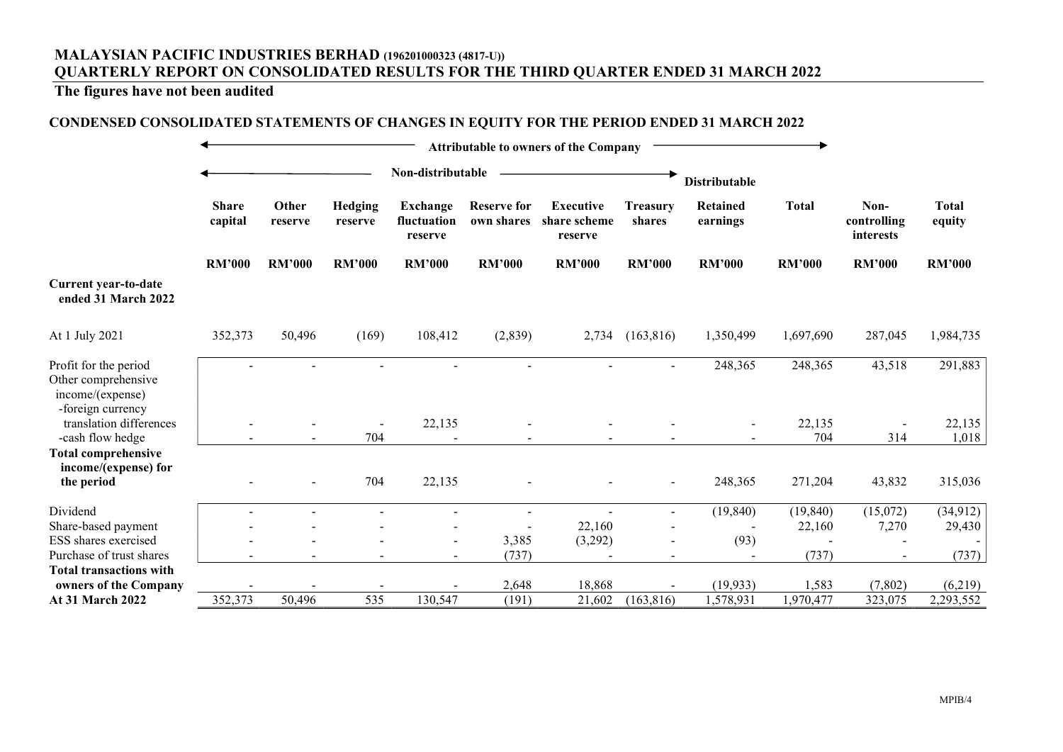# The figures have not been audited

## CONDENSED CONSOLIDATED STATEMENTS OF CHANGES IN EQUITY FOR THE PERIOD ENDED 31 MARCH 2022

| <b>Attributable to owners of the Company</b>                                          |                         |                   |                    |                                           |                                  |                                             |                           |                          |               |                                  |                        |
|---------------------------------------------------------------------------------------|-------------------------|-------------------|--------------------|-------------------------------------------|----------------------------------|---------------------------------------------|---------------------------|--------------------------|---------------|----------------------------------|------------------------|
|                                                                                       |                         | Non-distributable |                    |                                           |                                  |                                             | <b>Distributable</b>      |                          |               |                                  |                        |
|                                                                                       | <b>Share</b><br>capital | Other<br>reserve  | Hedging<br>reserve | <b>Exchange</b><br>fluctuation<br>reserve | <b>Reserve for</b><br>own shares | <b>Executive</b><br>share scheme<br>reserve | <b>Treasury</b><br>shares | Retained<br>earnings     | <b>Total</b>  | Non-<br>controlling<br>interests | <b>Total</b><br>equity |
|                                                                                       | <b>RM'000</b>           | <b>RM'000</b>     | <b>RM'000</b>      | <b>RM'000</b>                             | <b>RM'000</b>                    | <b>RM'000</b>                               | <b>RM'000</b>             | <b>RM'000</b>            | <b>RM'000</b> | <b>RM'000</b>                    | <b>RM'000</b>          |
| Current year-to-date<br>ended 31 March 2022                                           |                         |                   |                    |                                           |                                  |                                             |                           |                          |               |                                  |                        |
| At 1 July 2021                                                                        | 352,373                 | 50,496            | (169)              | 108,412                                   | (2,839)                          | 2,734                                       | (163, 816)                | 1,350,499                | 1,697,690     | 287,045                          | 1,984,735              |
| Profit for the period<br>Other comprehensive<br>income/(expense)<br>-foreign currency |                         |                   |                    |                                           |                                  |                                             |                           | 248,365                  | 248,365       | 43,518                           | 291,883                |
| translation differences<br>-cash flow hedge                                           |                         |                   | 704                | 22,135                                    |                                  |                                             |                           |                          | 22,135<br>704 | 314                              | 22,135<br>1,018        |
| <b>Total comprehensive</b><br>income/(expense) for<br>the period                      |                         |                   | 704                | 22,135                                    |                                  |                                             | $\overline{\phantom{a}}$  | 248,365                  | 271,204       | 43,832                           | 315,036                |
| Dividend                                                                              |                         |                   |                    | $\blacksquare$                            |                                  |                                             |                           | (19, 840)                | (19, 840)     | (15,072)                         | (34, 912)              |
| Share-based payment                                                                   |                         |                   |                    |                                           |                                  | 22,160                                      |                           | $\overline{\phantom{a}}$ | 22,160        | 7,270                            | 29,430                 |
| ESS shares exercised<br>Purchase of trust shares                                      |                         |                   |                    | $\blacksquare$                            | 3,385<br>(737)                   | (3,292)                                     |                           | (93)                     | (737)         |                                  | $\sim$<br>(737)        |
| <b>Total transactions with</b>                                                        |                         |                   |                    |                                           |                                  |                                             |                           |                          |               |                                  |                        |
| owners of the Company                                                                 |                         |                   |                    |                                           | 2,648                            | 18,868                                      |                           | (19, 933)                | 1,583         | (7,802)                          | (6,219)                |
| At 31 March 2022                                                                      | 352,373                 | 50,496            | 535                | 130,547                                   | (191)                            | 21,602                                      | (163, 816)                | 1,578,931                | 1,970,477     | 323,075                          | 2,293,552              |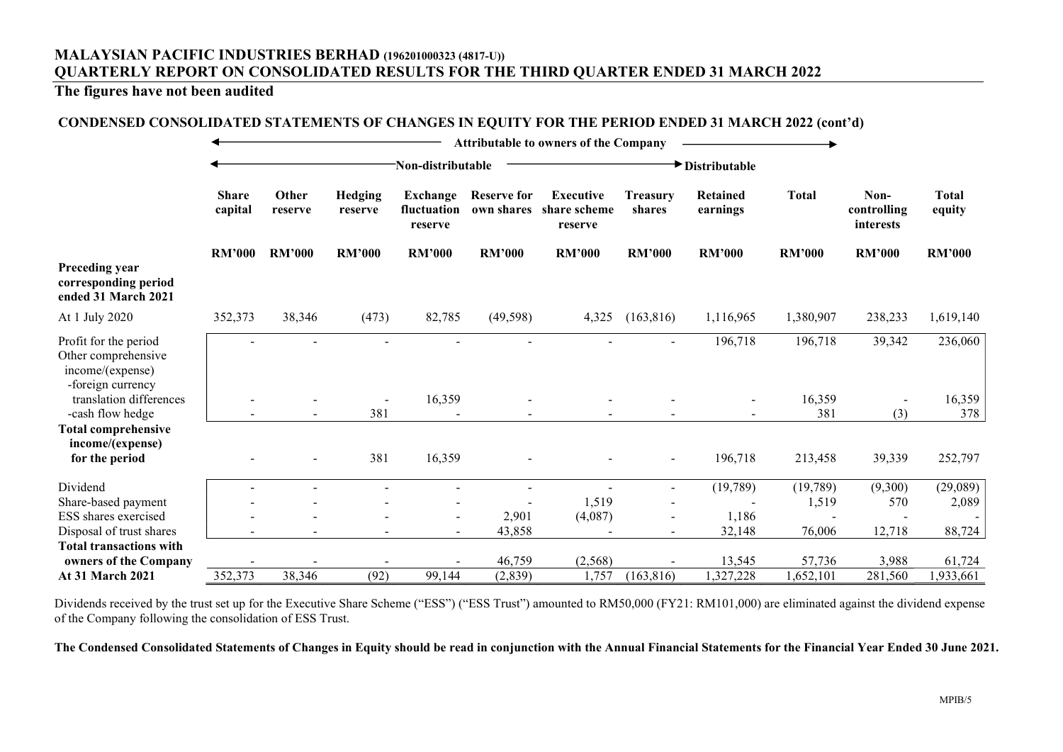## The figures have not been audited

### CONDENSED CONSOLIDATED STATEMENTS OF CHANGES IN EQUITY FOR THE PERIOD ENDED 31 MARCH 2022 (cont'd)

|                                                                                       |                         | <b>Attributable to owners of the Company</b> |                    |                                           |                                  |                                             |                           |                             |               |                                  |                        |
|---------------------------------------------------------------------------------------|-------------------------|----------------------------------------------|--------------------|-------------------------------------------|----------------------------------|---------------------------------------------|---------------------------|-----------------------------|---------------|----------------------------------|------------------------|
|                                                                                       |                         | Non-distributable                            |                    |                                           |                                  | Distributable                               |                           |                             |               |                                  |                        |
|                                                                                       | <b>Share</b><br>capital | Other<br>reserve                             | Hedging<br>reserve | <b>Exchange</b><br>fluctuation<br>reserve | <b>Reserve for</b><br>own shares | <b>Executive</b><br>share scheme<br>reserve | <b>Treasury</b><br>shares | <b>Retained</b><br>earnings | <b>Total</b>  | Non-<br>controlling<br>interests | <b>Total</b><br>equity |
|                                                                                       | <b>RM'000</b>           | <b>RM'000</b>                                | <b>RM'000</b>      | <b>RM'000</b>                             | <b>RM'000</b>                    | <b>RM'000</b>                               | <b>RM'000</b>             | <b>RM'000</b>               | <b>RM'000</b> | <b>RM'000</b>                    | <b>RM'000</b>          |
| Preceding year<br>corresponding period<br>ended 31 March 2021                         |                         |                                              |                    |                                           |                                  |                                             |                           |                             |               |                                  |                        |
| At 1 July 2020                                                                        | 352,373                 | 38,346                                       | (473)              | 82,785                                    | (49, 598)                        | 4,325                                       | (163, 816)                | 1,116,965                   | 1,380,907     | 238,233                          | 1,619,140              |
| Profit for the period<br>Other comprehensive<br>income/(expense)<br>-foreign currency |                         |                                              |                    |                                           |                                  |                                             |                           | 196,718                     | 196,718       | 39,342                           | 236,060                |
| translation differences                                                               |                         |                                              |                    | 16,359                                    |                                  |                                             |                           |                             | 16,359        |                                  | 16,359                 |
| -cash flow hedge                                                                      |                         |                                              | 381                |                                           |                                  |                                             |                           |                             | 381           | (3)                              | 378                    |
| <b>Total comprehensive</b><br>income/(expense)                                        |                         |                                              |                    |                                           |                                  |                                             |                           |                             |               |                                  |                        |
| for the period                                                                        |                         |                                              | 381                | 16,359                                    |                                  |                                             |                           | 196,718                     | 213,458       | 39,339                           | 252,797                |
| Dividend                                                                              |                         |                                              |                    |                                           |                                  |                                             | $\overline{\phantom{a}}$  | (19,789)                    | (19,789)      | (9,300)                          | (29,089)               |
| Share-based payment                                                                   |                         |                                              |                    |                                           |                                  | 1,519                                       |                           |                             | 1,519         | 570                              | 2,089                  |
| ESS shares exercised                                                                  |                         |                                              |                    | $\overline{\phantom{a}}$                  | 2,901                            | (4,087)                                     |                           | 1,186                       |               |                                  |                        |
| Disposal of trust shares                                                              |                         |                                              |                    | $\sim$                                    | 43,858                           |                                             |                           | 32,148                      | 76,006        | 12,718                           | 88,724                 |
| <b>Total transactions with</b>                                                        |                         |                                              |                    |                                           |                                  |                                             |                           |                             |               |                                  |                        |
| owners of the Company                                                                 |                         |                                              |                    |                                           | 46,759                           | (2, 568)                                    |                           | 13,545                      | 57,736        | 3,988                            | 61,724                 |
| <b>At 31 March 2021</b>                                                               | 352,373                 | 38,346                                       | (92)               | 99,144                                    | (2, 839)                         | 1,757                                       | (163, 816)                | 1,327,228                   | 1,652,101     | 281,560                          | 1,933,661              |

Dividends received by the trust set up for the Executive Share Scheme ("ESS") ("ESS Trust") amounted to RM50,000 (FY21: RM101,000) are eliminated against the dividend expense of the Company following the consolidation of ESS Trust.

The Condensed Consolidated Statements of Changes in Equity should be read in conjunction with the Annual Financial Statements for the Financial Year Ended 30 June 2021.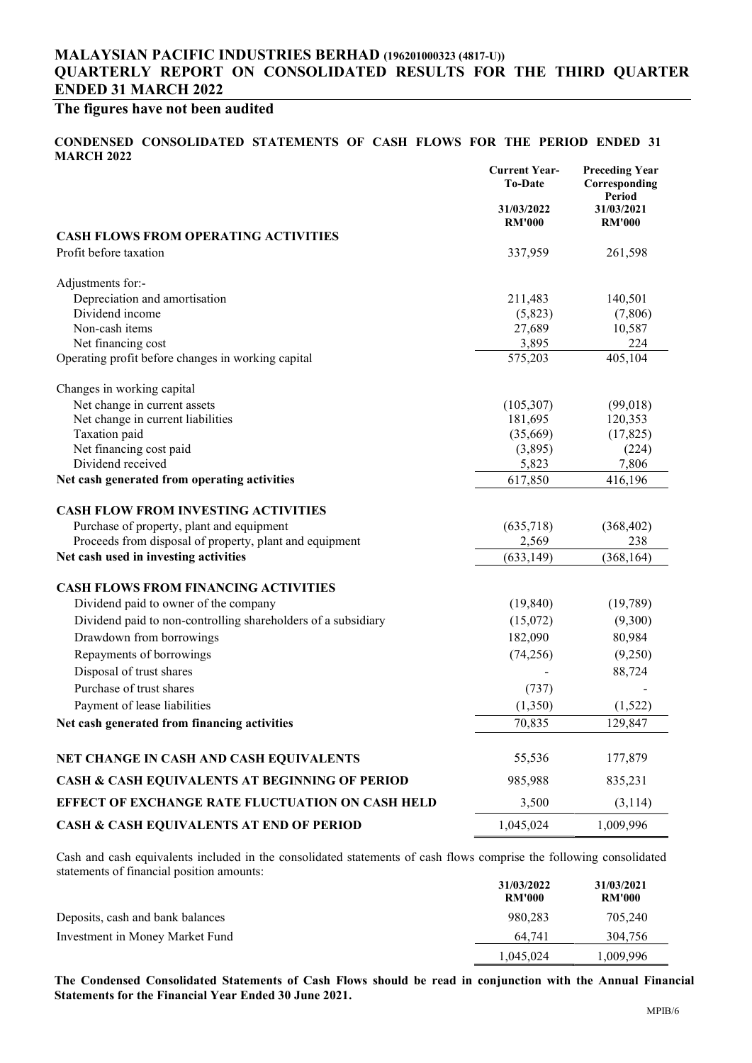# The figures have not been audited

#### CONDENSED CONSOLIDATED STATEMENTS OF CASH FLOWS FOR THE PERIOD ENDED 31 MARCH 2022

|                                                               | <b>Current Year-</b><br><b>To-Date</b> | <b>Preceding Year</b><br>Corresponding<br>Period |
|---------------------------------------------------------------|----------------------------------------|--------------------------------------------------|
|                                                               | 31/03/2022<br><b>RM'000</b>            | 31/03/2021<br><b>RM'000</b>                      |
| <b>CASH FLOWS FROM OPERATING ACTIVITIES</b>                   |                                        |                                                  |
| Profit before taxation                                        | 337,959                                | 261,598                                          |
| Adjustments for:-                                             |                                        |                                                  |
| Depreciation and amortisation                                 | 211,483                                | 140,501                                          |
| Dividend income                                               | (5,823)                                | (7,806)                                          |
| Non-cash items                                                | 27,689                                 | 10,587                                           |
| Net financing cost                                            | 3,895                                  | 224                                              |
| Operating profit before changes in working capital            | 575,203                                | 405,104                                          |
| Changes in working capital                                    |                                        |                                                  |
| Net change in current assets                                  | (105, 307)                             | (99,018)                                         |
| Net change in current liabilities                             | 181,695                                | 120,353                                          |
| Taxation paid                                                 | (35,669)                               | (17, 825)                                        |
| Net financing cost paid<br>Dividend received                  | (3,895)                                | (224)                                            |
| Net cash generated from operating activities                  | 5,823<br>617,850                       | 7,806<br>416,196                                 |
|                                                               |                                        |                                                  |
| <b>CASH FLOW FROM INVESTING ACTIVITIES</b>                    |                                        |                                                  |
| Purchase of property, plant and equipment                     | (635,718)                              | (368, 402)                                       |
| Proceeds from disposal of property, plant and equipment       | 2,569                                  | 238                                              |
| Net cash used in investing activities                         | (633, 149)                             | (368, 164)                                       |
| <b>CASH FLOWS FROM FINANCING ACTIVITIES</b>                   |                                        |                                                  |
| Dividend paid to owner of the company                         | (19, 840)                              | (19,789)                                         |
| Dividend paid to non-controlling shareholders of a subsidiary | (15,072)                               | (9,300)                                          |
| Drawdown from borrowings                                      | 182,090                                | 80,984                                           |
| Repayments of borrowings                                      | (74, 256)                              | (9,250)                                          |
| Disposal of trust shares                                      |                                        | 88,724                                           |
| Purchase of trust shares                                      | (737)                                  |                                                  |
| Payment of lease liabilities                                  | (1,350)                                | (1,522)                                          |
| Net cash generated from financing activities                  | 70,835                                 | 129,847                                          |
|                                                               |                                        |                                                  |
| NET CHANGE IN CASH AND CASH EQUIVALENTS                       | 55,536                                 | 177,879                                          |
| <b>CASH &amp; CASH EQUIVALENTS AT BEGINNING OF PERIOD</b>     | 985,988                                | 835,231                                          |
| EFFECT OF EXCHANGE RATE FLUCTUATION ON CASH HELD              | 3,500                                  | (3,114)                                          |
| <b>CASH &amp; CASH EQUIVALENTS AT END OF PERIOD</b>           | 1,045,024                              | 1,009,996                                        |

Cash and cash equivalents included in the consolidated statements of cash flows comprise the following consolidated statements of financial position amounts:

|                                  | 31/03/2022<br><b>RM'000</b> | 31/03/2021<br><b>RM'000</b> |
|----------------------------------|-----------------------------|-----------------------------|
| Deposits, cash and bank balances | 980,283                     | 705,240                     |
| Investment in Money Market Fund  | 64.741                      | 304,756                     |
|                                  | 1,045,024                   | 1,009,996                   |

The Condensed Consolidated Statements of Cash Flows should be read in conjunction with the Annual Financial Statements for the Financial Year Ended 30 June 2021.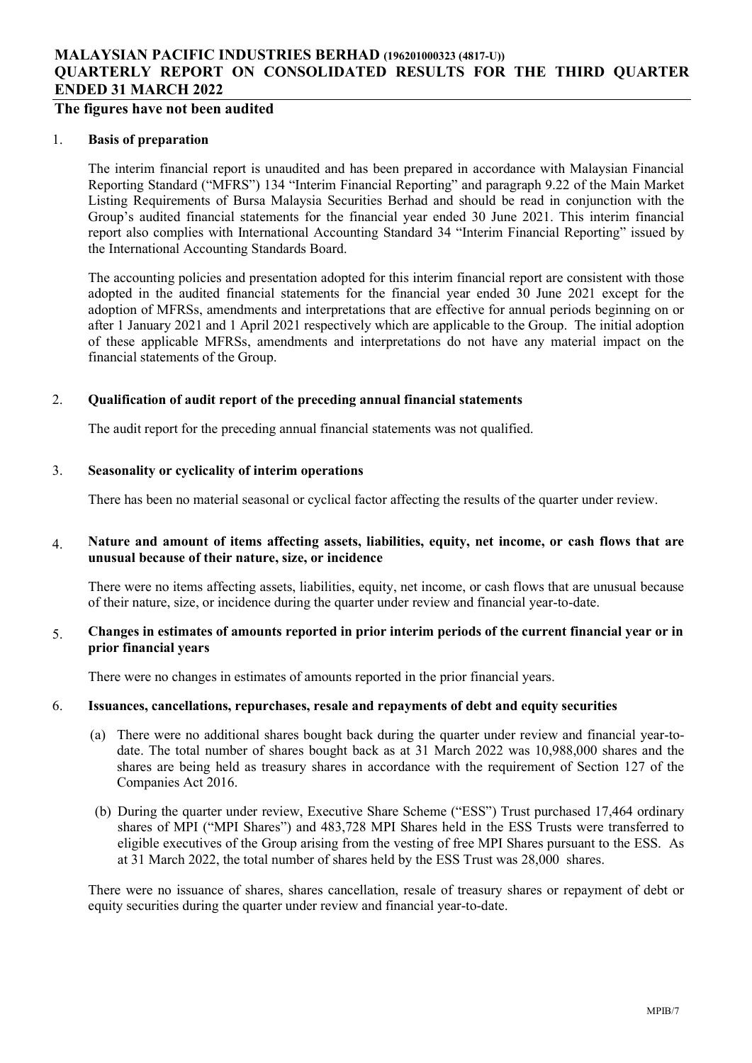## The figures have not been audited

#### 1. Basis of preparation

The interim financial report is unaudited and has been prepared in accordance with Malaysian Financial Reporting Standard ("MFRS") 134 "Interim Financial Reporting" and paragraph 9.22 of the Main Market Listing Requirements of Bursa Malaysia Securities Berhad and should be read in conjunction with the Group's audited financial statements for the financial year ended 30 June 2021. This interim financial report also complies with International Accounting Standard 34 "Interim Financial Reporting" issued by the International Accounting Standards Board.

The accounting policies and presentation adopted for this interim financial report are consistent with those adopted in the audited financial statements for the financial year ended 30 June 2021 except for the adoption of MFRSs, amendments and interpretations that are effective for annual periods beginning on or after 1 January 2021 and 1 April 2021 respectively which are applicable to the Group. The initial adoption of these applicable MFRSs, amendments and interpretations do not have any material impact on the financial statements of the Group.

#### 2. Qualification of audit report of the preceding annual financial statements

The audit report for the preceding annual financial statements was not qualified.

#### 3. Seasonality or cyclicality of interim operations

There has been no material seasonal or cyclical factor affecting the results of the quarter under review.

#### 4. Nature and amount of items affecting assets, liabilities, equity, net income, or cash flows that are unusual because of their nature, size, or incidence

There were no items affecting assets, liabilities, equity, net income, or cash flows that are unusual because of their nature, size, or incidence during the quarter under review and financial year-to-date.

### 5. Changes in estimates of amounts reported in prior interim periods of the current financial year or in prior financial years

There were no changes in estimates of amounts reported in the prior financial years.

#### 6. Issuances, cancellations, repurchases, resale and repayments of debt and equity securities

- (a) There were no additional shares bought back during the quarter under review and financial year-todate. The total number of shares bought back as at 31 March 2022 was 10,988,000 shares and the shares are being held as treasury shares in accordance with the requirement of Section 127 of the Companies Act 2016.
- (b) During the quarter under review, Executive Share Scheme ("ESS") Trust purchased 17,464 ordinary shares of MPI ("MPI Shares") and 483,728 MPI Shares held in the ESS Trusts were transferred to eligible executives of the Group arising from the vesting of free MPI Shares pursuant to the ESS. As at 31 March 2022, the total number of shares held by the ESS Trust was 28,000 shares.

There were no issuance of shares, shares cancellation, resale of treasury shares or repayment of debt or equity securities during the quarter under review and financial year-to-date.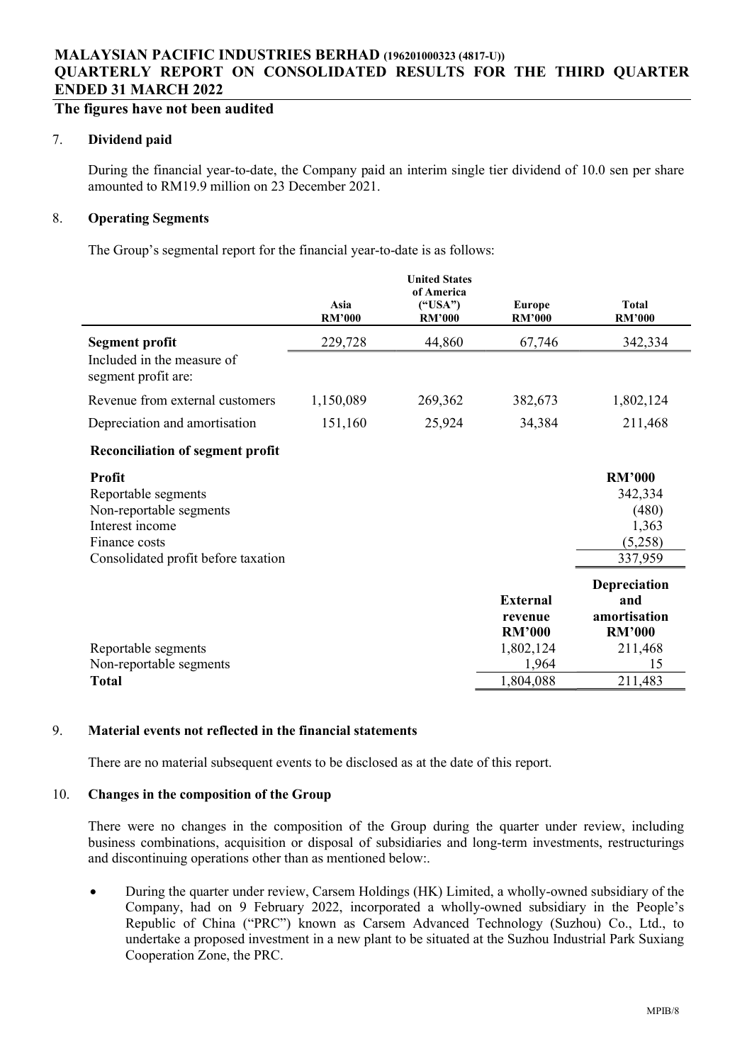# The figures have not been audited

### 7. Dividend paid

During the financial year-to-date, the Company paid an interim single tier dividend of 10.0 sen per share amounted to RM19.9 million on 23 December 2021.

## 8. Operating Segments

The Group's segmental report for the financial year-to-date is as follows:

|                                                   | Asia<br><b>RM'000</b> | <b>United States</b><br>of America<br>("USA")<br><b>RM'000</b> | <b>Europe</b><br><b>RM'000</b> | <b>Total</b><br><b>RM'000</b> |
|---------------------------------------------------|-----------------------|----------------------------------------------------------------|--------------------------------|-------------------------------|
| <b>Segment profit</b>                             | 229,728               | 44,860                                                         | 67,746                         | 342,334                       |
| Included in the measure of<br>segment profit are: |                       |                                                                |                                |                               |
| Revenue from external customers                   | 1,150,089             | 269,362                                                        | 382,673                        | 1,802,124                     |
| Depreciation and amortisation                     | 151,160               | 25,924                                                         | 34,384                         | 211,468                       |
| <b>Reconciliation of segment profit</b>           |                       |                                                                |                                |                               |
| <b>Profit</b>                                     |                       |                                                                |                                | <b>RM'000</b>                 |
| Reportable segments                               |                       |                                                                |                                | 342,334                       |
| Non-reportable segments                           |                       |                                                                |                                | (480)                         |
| Interest income                                   |                       |                                                                |                                | 1,363                         |
| Finance costs                                     |                       |                                                                |                                | (5,258)                       |
| Consolidated profit before taxation               |                       |                                                                |                                | 337,959                       |
|                                                   |                       |                                                                |                                | Depreciation                  |
|                                                   |                       |                                                                | <b>External</b>                | and                           |
|                                                   |                       |                                                                | revenue                        | amortisation                  |
|                                                   |                       |                                                                | <b>RM'000</b>                  | <b>RM'000</b>                 |
| Reportable segments                               |                       |                                                                | 1,802,124                      | 211,468                       |
| Non-reportable segments                           |                       |                                                                | 1,964                          | 15                            |
| <b>Total</b>                                      |                       |                                                                | 1,804,088                      | 211,483                       |

## 9. Material events not reflected in the financial statements

There are no material subsequent events to be disclosed as at the date of this report.

### 10. Changes in the composition of the Group

There were no changes in the composition of the Group during the quarter under review, including business combinations, acquisition or disposal of subsidiaries and long-term investments, restructurings and discontinuing operations other than as mentioned below:.

 During the quarter under review, Carsem Holdings (HK) Limited, a wholly-owned subsidiary of the Company, had on 9 February 2022, incorporated a wholly-owned subsidiary in the People's Republic of China ("PRC") known as Carsem Advanced Technology (Suzhou) Co., Ltd., to undertake a proposed investment in a new plant to be situated at the Suzhou Industrial Park Suxiang Cooperation Zone, the PRC.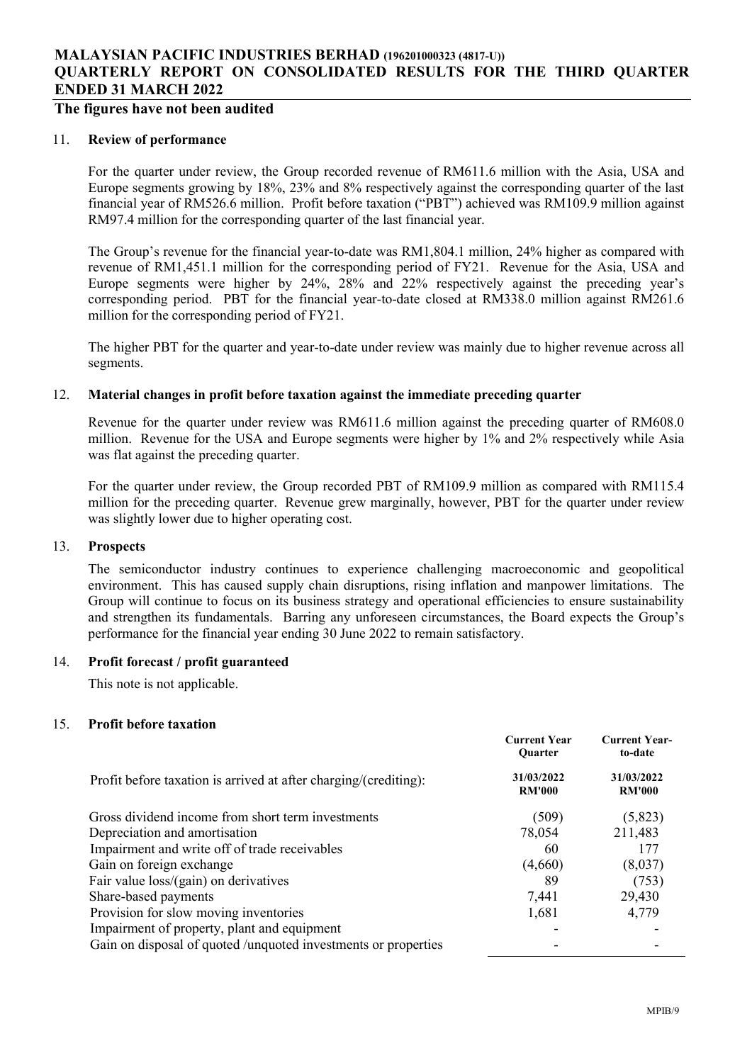## The figures have not been audited

#### 11. Review of performance

For the quarter under review, the Group recorded revenue of RM611.6 million with the Asia, USA and Europe segments growing by 18%, 23% and 8% respectively against the corresponding quarter of the last financial year of RM526.6 million. Profit before taxation ("PBT") achieved was RM109.9 million against RM97.4 million for the corresponding quarter of the last financial year.

The Group's revenue for the financial year-to-date was RM1,804.1 million, 24% higher as compared with revenue of RM1,451.1 million for the corresponding period of FY21. Revenue for the Asia, USA and Europe segments were higher by 24%, 28% and 22% respectively against the preceding year's corresponding period. PBT for the financial year-to-date closed at RM338.0 million against RM261.6 million for the corresponding period of FY21.

The higher PBT for the quarter and year-to-date under review was mainly due to higher revenue across all segments.

## 12. Material changes in profit before taxation against the immediate preceding quarter

Revenue for the quarter under review was RM611.6 million against the preceding quarter of RM608.0 million. Revenue for the USA and Europe segments were higher by 1% and 2% respectively while Asia was flat against the preceding quarter.

For the quarter under review, the Group recorded PBT of RM109.9 million as compared with RM115.4 million for the preceding quarter. Revenue grew marginally, however, PBT for the quarter under review was slightly lower due to higher operating cost.

#### 13. Prospects

The semiconductor industry continues to experience challenging macroeconomic and geopolitical environment. This has caused supply chain disruptions, rising inflation and manpower limitations. The Group will continue to focus on its business strategy and operational efficiencies to ensure sustainability and strengthen its fundamentals. Barring any unforeseen circumstances, the Board expects the Group's performance for the financial year ending 30 June 2022 to remain satisfactory.

## 14. Profit forecast / profit guaranteed

This note is not applicable.

### 15. Profit before taxation

|                                                                  | <b>Current Year</b><br>Quarter | <b>Current Year-</b><br>to-date |
|------------------------------------------------------------------|--------------------------------|---------------------------------|
| Profit before taxation is arrived at after charging/(crediting): | 31/03/2022<br><b>RM'000</b>    | 31/03/2022<br><b>RM'000</b>     |
| Gross dividend income from short term investments                | (509)                          | (5,823)                         |
| Depreciation and amortisation                                    | 78,054                         | 211,483                         |
| Impairment and write off of trade receivables                    | 60                             | 177                             |
| Gain on foreign exchange                                         | (4,660)                        | (8,037)                         |
| Fair value loss/(gain) on derivatives                            | 89                             | (753)                           |
| Share-based payments                                             | 7,441                          | 29,430                          |
| Provision for slow moving inventories                            | 1,681                          | 4,779                           |
| Impairment of property, plant and equipment                      |                                |                                 |
| Gain on disposal of quoted /unquoted investments or properties   |                                |                                 |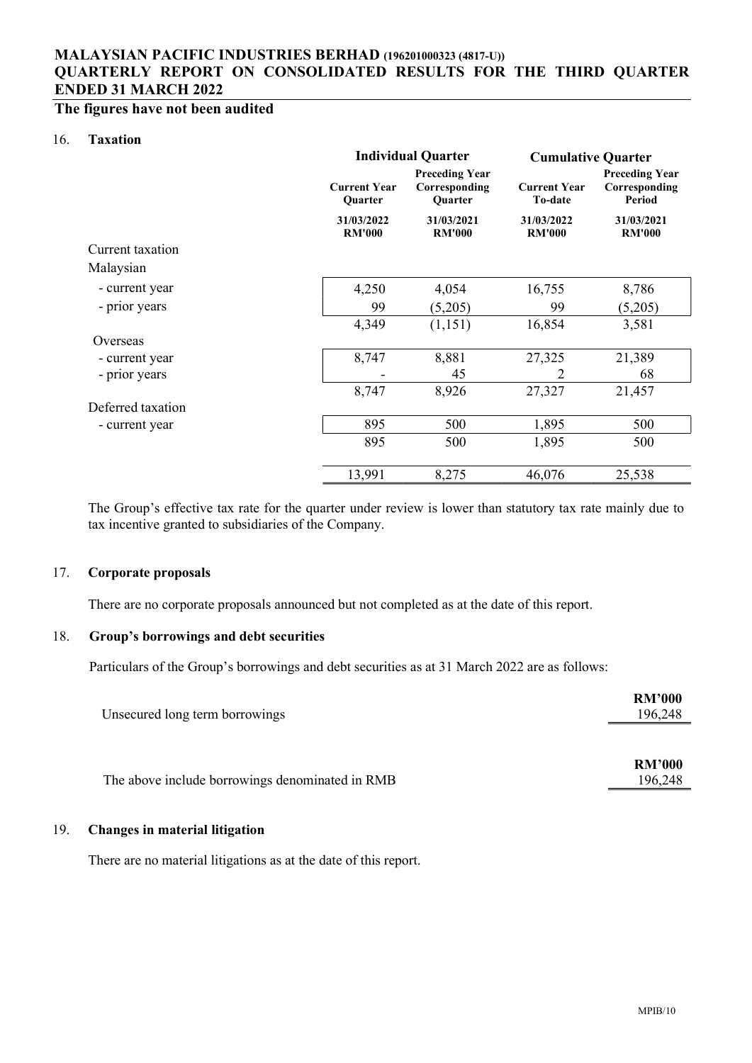# The figures have not been audited

#### 16. Taxation

|                   |                                | <b>Individual Quarter</b>                                | <b>Cumulative Quarter</b>             |                                                  |  |
|-------------------|--------------------------------|----------------------------------------------------------|---------------------------------------|--------------------------------------------------|--|
|                   | <b>Current Year</b><br>Quarter | <b>Preceding Year</b><br>Corresponding<br><b>Ouarter</b> | <b>Current Year</b><br><b>To-date</b> | <b>Preceding Year</b><br>Corresponding<br>Period |  |
|                   | 31/03/2022<br><b>RM'000</b>    | 31/03/2021<br><b>RM'000</b>                              | 31/03/2022<br><b>RM'000</b>           | 31/03/2021<br><b>RM'000</b>                      |  |
| Current taxation  |                                |                                                          |                                       |                                                  |  |
| Malaysian         |                                |                                                          |                                       |                                                  |  |
| - current year    | 4,250                          | 4,054                                                    | 16,755                                | 8,786                                            |  |
| - prior years     | 99                             | (5,205)                                                  | 99                                    | (5,205)                                          |  |
|                   | 4,349                          | (1,151)                                                  | 16,854                                | 3,581                                            |  |
| Overseas          |                                |                                                          |                                       |                                                  |  |
| - current year    | 8,747                          | 8,881                                                    | 27,325                                | 21,389                                           |  |
| - prior years     |                                | 45                                                       | $\overline{2}$                        | 68                                               |  |
|                   | 8,747                          | 8,926                                                    | 27,327                                | 21,457                                           |  |
| Deferred taxation |                                |                                                          |                                       |                                                  |  |
| - current year    | 895                            | 500                                                      | 1,895                                 | 500                                              |  |
|                   | 895                            | 500                                                      | 1,895                                 | 500                                              |  |
|                   | 13,991                         | 8,275                                                    | 46,076                                | 25,538                                           |  |

The Group's effective tax rate for the quarter under review is lower than statutory tax rate mainly due to tax incentive granted to subsidiaries of the Company.

### 17. Corporate proposals

There are no corporate proposals announced but not completed as at the date of this report.

## 18. Group's borrowings and debt securities

Particulars of the Group's borrowings and debt securities as at 31 March 2022 are as follows:

| Unsecured long term borrowings                  | <b>RM'000</b><br>196,248 |
|-------------------------------------------------|--------------------------|
|                                                 | <b>RM'000</b>            |
| The above include borrowings denominated in RMB | 196,248                  |

### 19. Changes in material litigation

There are no material litigations as at the date of this report.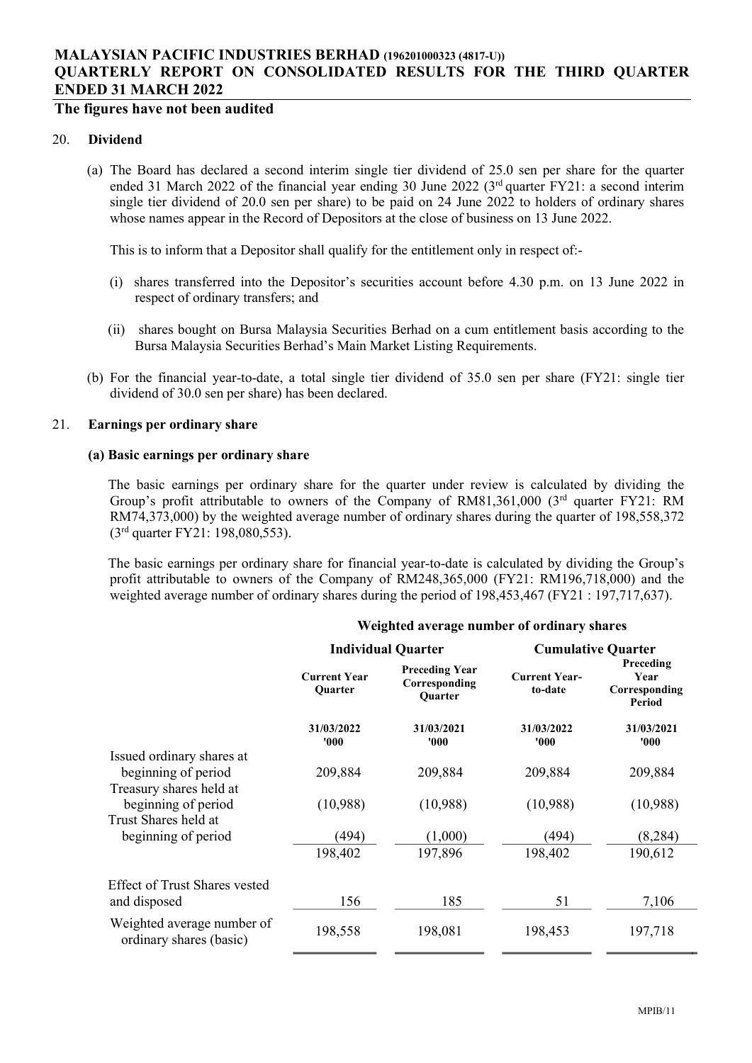# The figures have not been audited

#### 20. Dividend

(a) The Board has declared a second interim single tier dividend of 25.0 sen per share for the quarter ended 31 March 2022 of the financial year ending 30 June 2022 (3<sup>rd</sup> quarter FY21: a second interim single tier dividend of 20.0 sen per share) to be paid on 24 June 2022 to holders of ordinary shares whose names appear in the Record of Depositors at the close of business on 13 June 2022.

This is to inform that a Depositor shall qualify for the entitlement only in respect of:-

- (i) shares transferred into the Depositor's securities account before 4.30 p.m. on 13 June 2022 in respect of ordinary transfers; and
- (ii) shares bought on Bursa Malaysia Securities Berhad on a cum entitlement basis according to the Bursa Malaysia Securities Berhad's Main Market Listing Requirements.
- (b) For the financial year-to-date, a total single tier dividend of 35.0 sen per share (FY21: single tier dividend of 30.0 sen per share) has been declared.

#### 21. Earnings per ordinary share

#### (a) Basic earnings per ordinary share

The basic earnings per ordinary share for the quarter under review is calculated by dividing the Group's profit attributable to owners of the Company of RM81,361,000 (3rd quarter FY21: RM RM74,373,000) by the weighted average number of ordinary shares during the quarter of 198,558,372 (3rd quarter FY21: 198,080,553).

The basic earnings per ordinary share for financial year-to-date is calculated by dividing the Group's profit attributable to owners of the Company of RM248,365,000 (FY21: RM196,718,000) and the weighted average number of ordinary shares during the period of 198,453,467 (FY21 : 197,717,637).

|                                                       |                                       | <b>Individual Quarter</b>                                | <b>Cumulative Quarter</b>       |                                              |
|-------------------------------------------------------|---------------------------------------|----------------------------------------------------------|---------------------------------|----------------------------------------------|
|                                                       | <b>Current Year</b><br><b>Ouarter</b> | <b>Preceding Year</b><br>Corresponding<br><b>Ouarter</b> | <b>Current Year-</b><br>to-date | Preceding<br>Year<br>Corresponding<br>Period |
|                                                       | 31/03/2022<br>000'                    | 31/03/2021<br>'000'                                      | 31/03/2022<br>'000'             | 31/03/2021<br>'000'                          |
| Issued ordinary shares at                             |                                       |                                                          |                                 |                                              |
| beginning of period                                   | 209,884                               | 209,884                                                  | 209,884                         | 209,884                                      |
| Treasury shares held at                               |                                       |                                                          |                                 |                                              |
| beginning of period                                   | (10,988)                              | (10,988)                                                 | (10,988)                        | (10,988)                                     |
| Trust Shares held at                                  |                                       |                                                          |                                 |                                              |
| beginning of period                                   | (494)                                 | (1,000)                                                  | (494)                           | (8, 284)                                     |
|                                                       | 198,402                               | 197,896                                                  | 198,402                         | 190,612                                      |
| Effect of Trust Shares vested                         |                                       |                                                          |                                 |                                              |
| and disposed                                          | 156                                   | 185                                                      | 51                              | 7,106                                        |
| Weighted average number of<br>ordinary shares (basic) | 198,558                               | 198,081                                                  | 198,453                         | 197,718                                      |

#### Weighted average number of ordinary shares